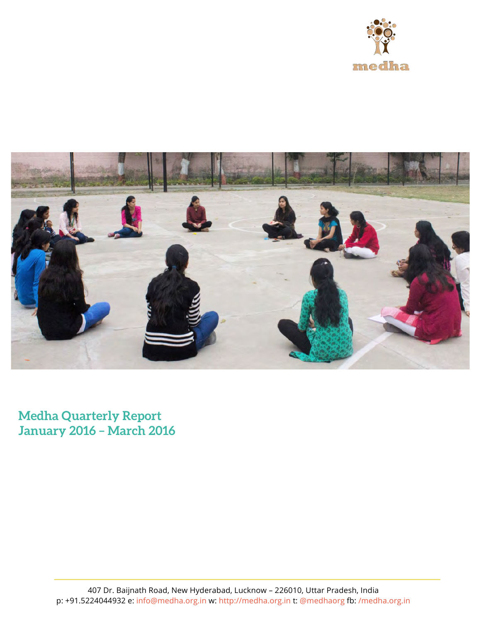



**Medha Quarterly Report January 2016 – March 2016**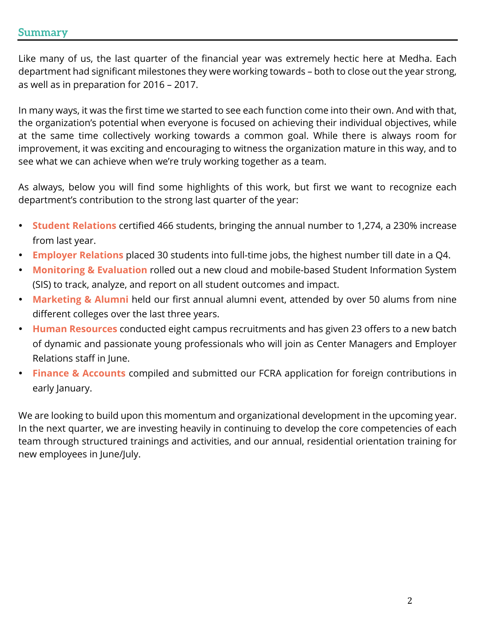## **Summary**

Like many of us, the last quarter of the financial year was extremely hectic here at Medha. Each department had significant milestones they were working towards – both to close out the year strong, as well as in preparation for 2016 – 2017.

In many ways, it was the first time we started to see each function come into their own. And with that, the organization's potential when everyone is focused on achieving their individual objectives, while at the same time collectively working towards a common goal. While there is always room for improvement, it was exciting and encouraging to witness the organization mature in this way, and to see what we can achieve when we're truly working together as a team.

As always, below you will find some highlights of this work, but first we want to recognize each department's contribution to the strong last quarter of the year:

- **Student Relations** certified 466 students, bringing the annual number to 1,274, a 230% increase from last year.
- **Employer Relations** placed 30 students into full-time jobs, the highest number till date in a Q4.
- **Monitoring & Evaluation** rolled out a new cloud and mobile-based Student Information System (SIS) to track, analyze, and report on all student outcomes and impact.
- **Marketing & Alumni** held our first annual alumni event, attended by over 50 alums from nine different colleges over the last three years.
- **Human Resources** conducted eight campus recruitments and has given 23 offers to a new batch of dynamic and passionate young professionals who will join as Center Managers and Employer Relations staff in June.
- **Finance & Accounts** compiled and submitted our FCRA application for foreign contributions in early January.

We are looking to build upon this momentum and organizational development in the upcoming year. In the next quarter, we are investing heavily in continuing to develop the core competencies of each team through structured trainings and activities, and our annual, residential orientation training for new employees in June/July.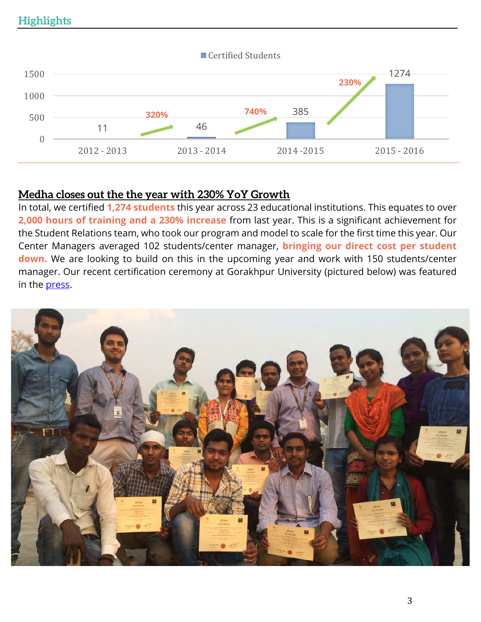

## **Medha closes out the the year with 230% YoY Growth**

In total, we certified **1,274 students** this year across 23 educational institutions. This equates to over **2,000 hours of training and a 230% increase** from last year. This is a significant achievement for the Student Relations team, who took our program and model to scale for the first time this year. Our Center Managers averaged 102 students/center manager, **bringing our direct cost per student down.** We are looking to build on this in the upcoming year and work with 150 students/center manager. Our recent certification ceremony at Gorakhpur University (pictured below) was featured in the **press**.

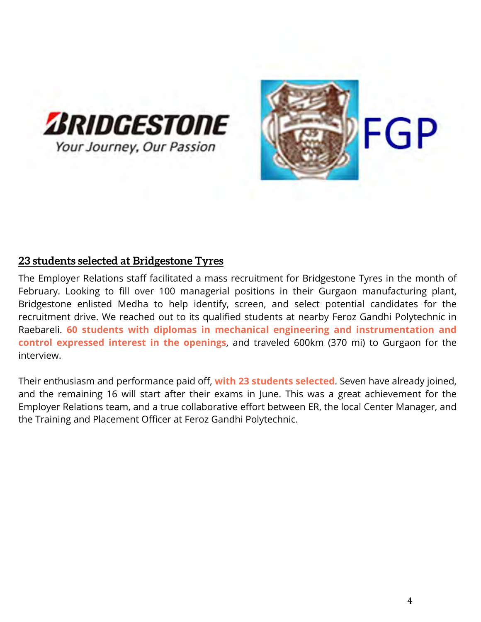

## **23 students selected at Bridgestone Tyres**

The Employer Relations staff facilitated a mass recruitment for Bridgestone Tyres in the month of February. Looking to fill over 100 managerial positions in their Gurgaon manufacturing plant, Bridgestone enlisted Medha to help identify, screen, and select potential candidates for the recruitment drive. We reached out to its qualified students at nearby Feroz Gandhi Polytechnic in Raebareli. **60 students with diplomas in mechanical engineering and instrumentation and control expressed interest in the openings**, and traveled 600km (370 mi) to Gurgaon for the interview.

Their enthusiasm and performance paid off, **with 23 students selected**. Seven have already joined, and the remaining 16 will start after their exams in June. This was a great achievement for the Employer Relations team, and a true collaborative effort between ER, the local Center Manager, and the Training and Placement Officer at Feroz Gandhi Polytechnic.

FGP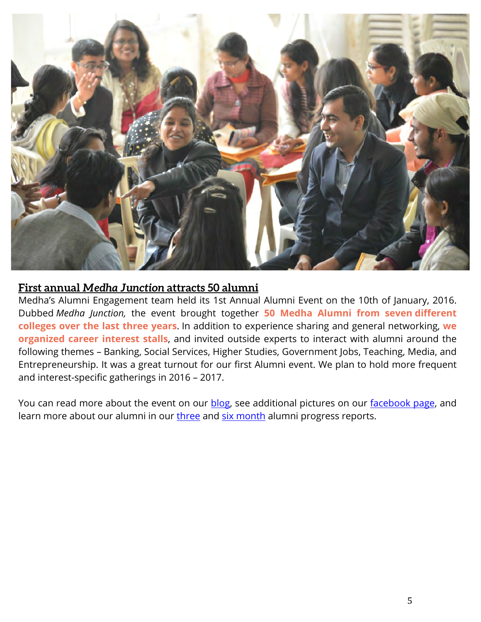

## **First annual** *Medha Junction* **attracts 50 alumni**

Medha's Alumni Engagement team held its 1st Annual Alumni Event on the 10th of January, 2016. Dubbed *Medha Junction,* the event brought together **50 Medha Alumni from seven different colleges over the last three years**. In addition to experience sharing and general networking, **we organized career interest stalls**, and invited outside experts to interact with alumni around the following themes – Banking, Social Services, Higher Studies, Government Jobs, Teaching, Media, and Entrepreneurship. It was a great turnout for our first Alumni event. We plan to hold more frequent and interest-specific gatherings in 2016 – 2017.

You can read more about the event on our blog, see additional pictures on our facebook page, and learn more about our alumni in our three and six month alumni progress reports.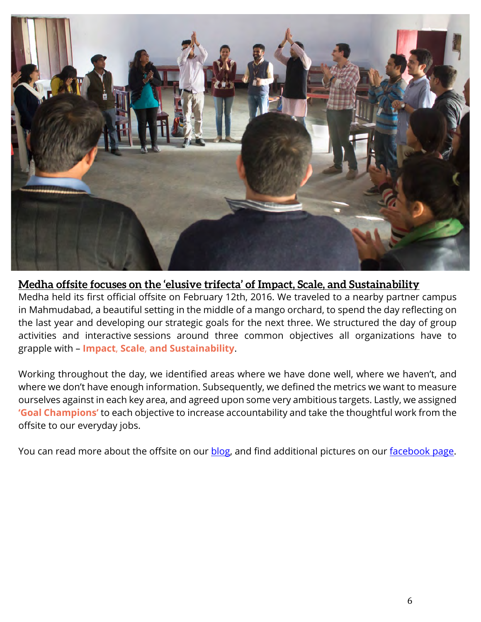

## **Medha offsite focuses on the 'elusive trifecta' of Impact, Scale, and Sustainability**

Medha held its first official offsite on February 12th, 2016. We traveled to a nearby partner campus in Mahmudabad, a beautiful setting in the middle of a mango orchard, to spend the day reflecting on the last year and developing our strategic goals for the next three. We structured the day of group activities and interactive sessions around three common objectives all organizations have to grapple with – **Impact**, **Scale**, **and Sustainability**.

Working throughout the day, we identified areas where we have done well, where we haven't, and where we don't have enough information. Subsequently, we defined the metrics we want to measure ourselves against in each key area, and agreed upon some very ambitious targets. Lastly, we assigned **'Goal Champions'** to each objective to increase accountability and take the thoughtful work from the offsite to our everyday jobs.

You can read more about the offsite on our **blog**, and find additional pictures on our **facebook** page.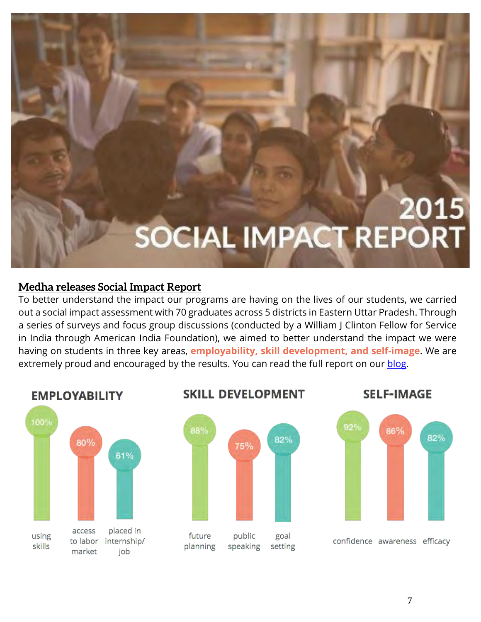

## **Medha releases Social Impact Report**

To better understand the impact our programs are having on the lives of our students, we carried out a social impact assessment with 70 graduates across 5 districts in Eastern Uttar Pradesh. Through a series of surveys and focus group discussions (conducted by a William J Clinton Fellow for Service in India through American India Foundation), we aimed to better understand the impact we were having on students in three key areas, **employability, skill development, and self-image**. We are extremely proud and encouraged by the results. You can read the full report on our blog.



#### **SKILL DEVELOPMENT**

75%

public

speaking

82%

goal

setting



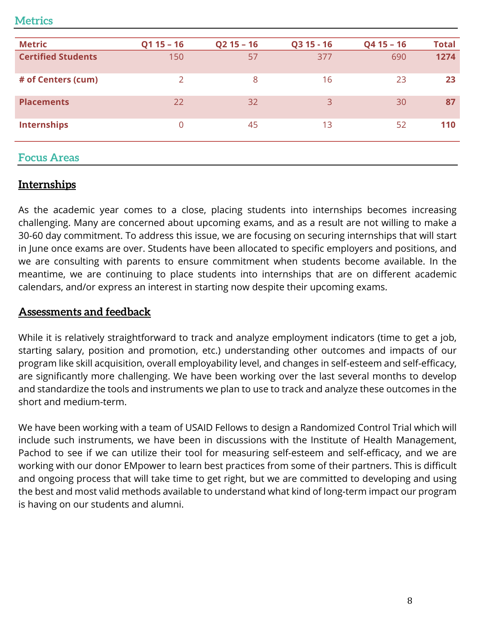## **Metrics**

| <b>Metric</b>             | $Q115 - 16$    | $Q2$ 15 - 16 | Q3 15 - 16     | $Q4$ 15 - 16 | <b>Total</b> |
|---------------------------|----------------|--------------|----------------|--------------|--------------|
| <b>Certified Students</b> | 150            | 57           | 377            | 690          | 1274         |
| # of Centers (cum)        | $\overline{2}$ | 8            | 16             | 23           | 23           |
| <b>Placements</b>         | 22             | 32           | $\overline{3}$ | 30           | 87           |
| <b>Internships</b>        | $\overline{0}$ | 45           | 13             | 52           | 110          |
| <b>Focus Areas</b>        |                |              |                |              |              |

## **Internships**

As the academic year comes to a close, placing students into internships becomes increasing challenging. Many are concerned about upcoming exams, and as a result are not willing to make a 30-60 day commitment. To address this issue, we are focusing on securing internships that will start in June once exams are over. Students have been allocated to specific employers and positions, and we are consulting with parents to ensure commitment when students become available. In the meantime, we are continuing to place students into internships that are on different academic calendars, and/or express an interest in starting now despite their upcoming exams.

## **Assessments and feedback**

While it is relatively straightforward to track and analyze employment indicators (time to get a job, starting salary, position and promotion, etc.) understanding other outcomes and impacts of our program like skill acquisition, overall employability level, and changes in self-esteem and self-efficacy, are significantly more challenging. We have been working over the last several months to develop and standardize the tools and instruments we plan to use to track and analyze these outcomes in the short and medium-term.

We have been working with a team of USAID Fellows to design a Randomized Control Trial which will include such instruments, we have been in discussions with the Institute of Health Management, Pachod to see if we can utilize their tool for measuring self-esteem and self-efficacy, and we are working with our donor EMpower to learn best practices from some of their partners. This is difficult and ongoing process that will take time to get right, but we are committed to developing and using the best and most valid methods available to understand what kind of long-term impact our program is having on our students and alumni.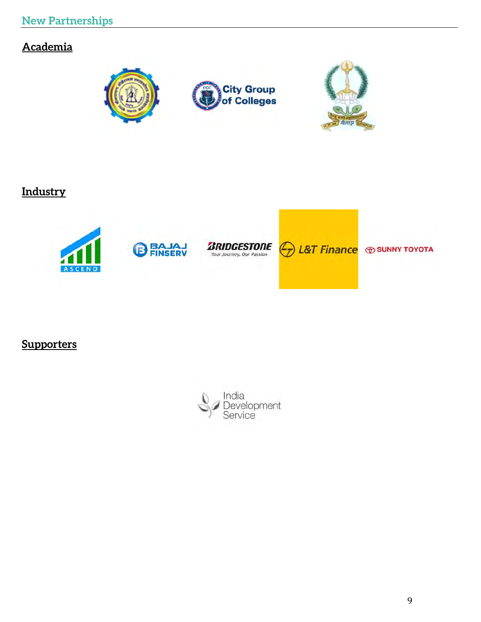# **Academia**



## **Industry**



**Supporters**

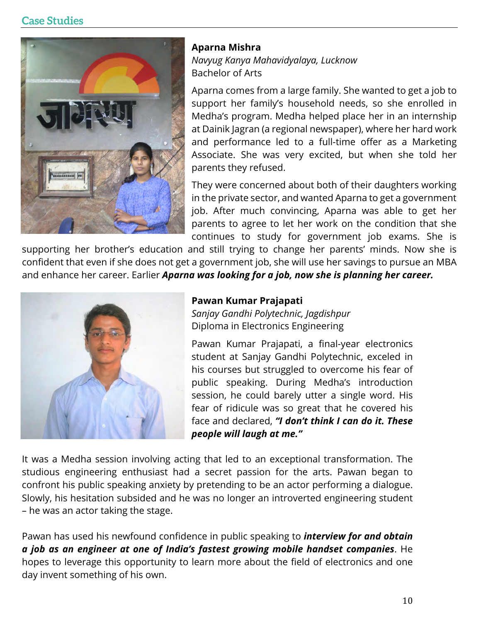## **Case Studies**



#### **Aparna Mishra**

*Navyug Kanya Mahavidyalaya, Lucknow*  Bachelor of Arts

Aparna comes from a large family. She wanted to get a job to support her family's household needs, so she enrolled in Medha's program. Medha helped place her in an internship at Dainik Jagran (a regional newspaper), where her hard work and performance led to a full-time offer as a Marketing Associate. She was very excited, but when she told her parents they refused.

They were concerned about both of their daughters working in the private sector, and wanted Aparna to get a government job. After much convincing, Aparna was able to get her parents to agree to let her work on the condition that she continues to study for government job exams. She is

supporting her brother's education and still trying to change her parents' minds. Now she is confident that even if she does not get a government job, she will use her savings to pursue an MBA and enhance her career. Earlier *Aparna was looking for a job, now she is planning her career.*



#### **Pawan Kumar Prajapati**

*Sanjay Gandhi Polytechnic, Jagdishpur* Diploma in Electronics Engineering

Pawan Kumar Prajapati, a final-year electronics student at Sanjay Gandhi Polytechnic, exceled in his courses but struggled to overcome his fear of public speaking. During Medha's introduction session, he could barely utter a single word. His fear of ridicule was so great that he covered his face and declared, *"I don't think I can do it. These people will laugh at me."* 

It was a Medha session involving acting that led to an exceptional transformation. The studious engineering enthusiast had a secret passion for the arts. Pawan began to confront his public speaking anxiety by pretending to be an actor performing a dialogue. Slowly, his hesitation subsided and he was no longer an introverted engineering student – he was an actor taking the stage.

Pawan has used his newfound confidence in public speaking to *interview for and obtain a job as an engineer at one of India's fastest growing mobile handset companies*. He hopes to leverage this opportunity to learn more about the field of electronics and one day invent something of his own.